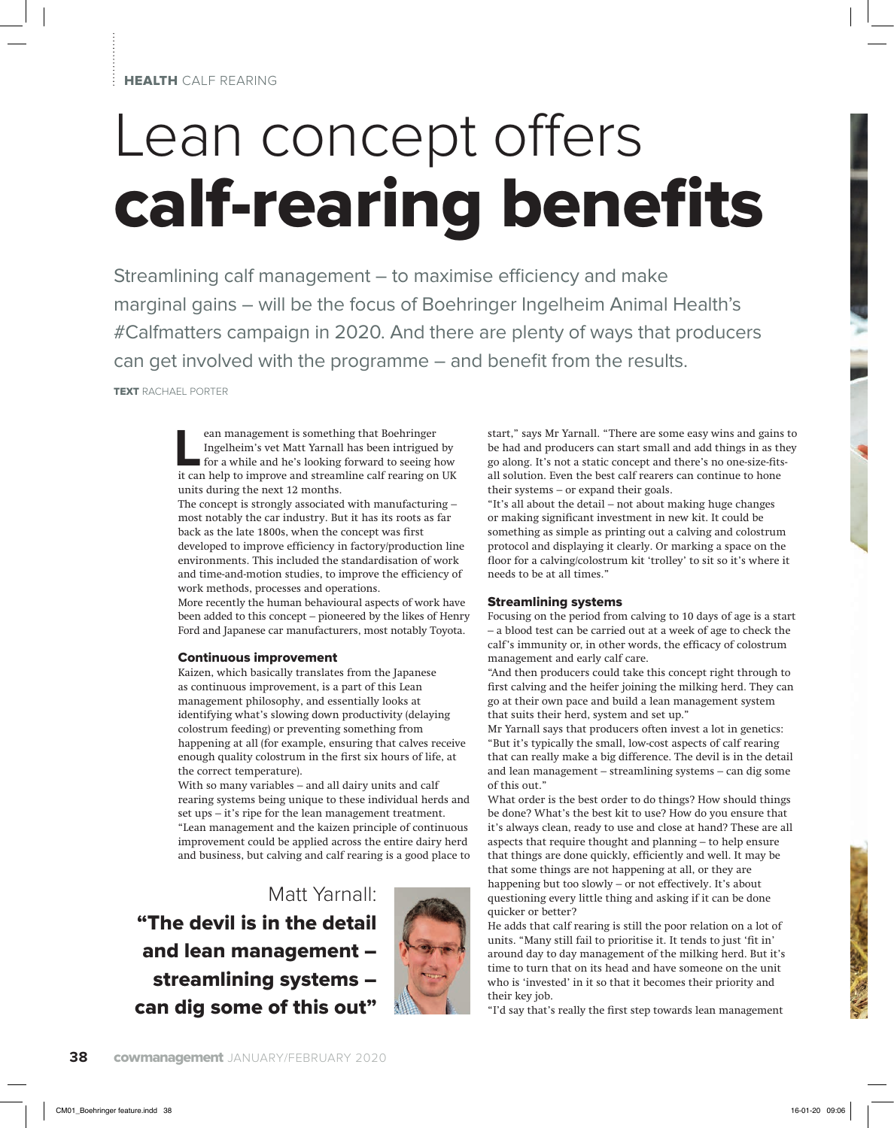# Lean concept offers calf-rearing benefits

Streamlining calf management  $-$  to maximise efficiency and make marginal gains – will be the focus of Boehringer Ingelheim Animal Health's #Calfmatters campaign in 2020. And there are plenty of ways that producers can get involved with the programme – and benefit from the results.

TEXT RACHAEL PORTER

**Lean management is something that Boehringer<br>Ingelheim's vet Matt Yarnall has been intrigued<br>for a while and he's looking forward to seeing h<br>it can help to improve and streamline calf rearing on** Ingelheim's vet Matt Yarnall has been intrigued by for a while and he's looking forward to seeing how it can help to improve and streamline calf rearing on UK units during the next 12 months.

The concept is strongly associated with manufacturing – most notably the car industry. But it has its roots as far back as the late 1800s, when the concept was first developed to improve efficiency in factory/production line environments. This included the standardisation of work and time-and-motion studies, to improve the efficiency of work methods, processes and operations.

More recently the human behavioural aspects of work have been added to this concept – pioneered by the likes of Henry Ford and Japanese car manufacturers, most notably Toyota.

#### Continuous improvement

Kaizen, which basically translates from the Japanese as continuous improvement, is a part of this Lean management philosophy, and essentially looks at identifying what's slowing down productivity (delaying colostrum feeding) or preventing something from happening at all (for example, ensuring that calves receive enough quality colostrum in the first six hours of life, at the correct temperature).

With so many variables – and all dairy units and calf rearing systems being unique to these individual herds and set ups – it's ripe for the lean management treatment. "Lean management and the kaizen principle of continuous improvement could be applied across the entire dairy herd and business, but calving and calf rearing is a good place to

Matt Yarnall: "The devil is in the detail and lean management – streamlining systems – can dig some of this out"



start," says Mr Yarnall. "There are some easy wins and gains to be had and producers can start small and add things in as they go along. It's not a static concept and there's no one-size-fitsall solution. Even the best calf rearers can continue to hone their systems – or expand their goals.

"It's all about the detail – not about making huge changes or making significant investment in new kit. It could be something as simple as printing out a calving and colostrum protocol and displaying it clearly. Or marking a space on the floor for a calving/colostrum kit 'trolley' to sit so it's where it needs to be at all times."

#### Streamlining systems

Focusing on the period from calving to 10 days of age is a start – a blood test can be carried out at a week of age to check the calf's immunity or, in other words, the efficacy of colostrum management and early calf care.

"And then producers could take this concept right through to first calving and the heifer joining the milking herd. They can go at their own pace and build a lean management system that suits their herd, system and set up."

Mr Yarnall says that producers often invest a lot in genetics: "But it's typically the small, low-cost aspects of calf rearing that can really make a big difference. The devil is in the detail and lean management – streamlining systems – can dig some of this out."

What order is the best order to do things? How should things be done? What's the best kit to use? How do you ensure that it's always clean, ready to use and close at hand? These are all aspects that require thought and planning – to help ensure that things are done quickly, efficiently and well. It may be that some things are not happening at all, or they are happening but too slowly – or not effectively. It's about questioning every little thing and asking if it can be done quicker or better?

He adds that calf rearing is still the poor relation on a lot of units. "Many still fail to prioritise it. It tends to just 'fit in' around day to day management of the milking herd. But it's time to turn that on its head and have someone on the unit who is 'invested' in it so that it becomes their priority and their key job.

"I'd say that's really the first step towards lean management